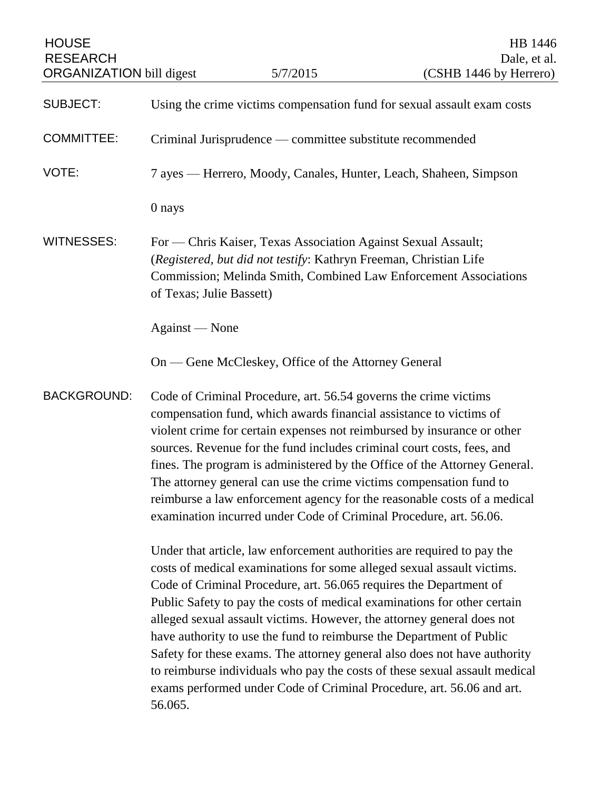| <b>HOUSE</b><br><b>RESEARCH</b><br><b>ORGANIZATION</b> bill digest |                                                                                                                                                                                                                                                                                                                                                                                                                                                                                                                                                                                                                                                                                                      | 5/7/2015                                            | HB 1446<br>Dale, et al.<br>(CSHB 1446 by Herrero) |
|--------------------------------------------------------------------|------------------------------------------------------------------------------------------------------------------------------------------------------------------------------------------------------------------------------------------------------------------------------------------------------------------------------------------------------------------------------------------------------------------------------------------------------------------------------------------------------------------------------------------------------------------------------------------------------------------------------------------------------------------------------------------------------|-----------------------------------------------------|---------------------------------------------------|
| <b>SUBJECT:</b>                                                    | Using the crime victims compensation fund for sexual assault exam costs                                                                                                                                                                                                                                                                                                                                                                                                                                                                                                                                                                                                                              |                                                     |                                                   |
| <b>COMMITTEE:</b>                                                  | Criminal Jurisprudence — committee substitute recommended                                                                                                                                                                                                                                                                                                                                                                                                                                                                                                                                                                                                                                            |                                                     |                                                   |
| VOTE:                                                              | 7 ayes — Herrero, Moody, Canales, Hunter, Leach, Shaheen, Simpson                                                                                                                                                                                                                                                                                                                                                                                                                                                                                                                                                                                                                                    |                                                     |                                                   |
|                                                                    | 0 nays                                                                                                                                                                                                                                                                                                                                                                                                                                                                                                                                                                                                                                                                                               |                                                     |                                                   |
| <b>WITNESSES:</b>                                                  | For — Chris Kaiser, Texas Association Against Sexual Assault;<br>(Registered, but did not testify: Kathryn Freeman, Christian Life<br>Commission; Melinda Smith, Combined Law Enforcement Associations<br>of Texas; Julie Bassett)                                                                                                                                                                                                                                                                                                                                                                                                                                                                   |                                                     |                                                   |
|                                                                    | Against — None                                                                                                                                                                                                                                                                                                                                                                                                                                                                                                                                                                                                                                                                                       |                                                     |                                                   |
|                                                                    |                                                                                                                                                                                                                                                                                                                                                                                                                                                                                                                                                                                                                                                                                                      | On — Gene McCleskey, Office of the Attorney General |                                                   |
| <b>BACKGROUND:</b>                                                 | Code of Criminal Procedure, art. 56.54 governs the crime victims<br>compensation fund, which awards financial assistance to victims of<br>violent crime for certain expenses not reimbursed by insurance or other<br>sources. Revenue for the fund includes criminal court costs, fees, and<br>fines. The program is administered by the Office of the Attorney General.<br>The attorney general can use the crime victims compensation fund to<br>reimburse a law enforcement agency for the reasonable costs of a medical<br>examination incurred under Code of Criminal Procedure, art. 56.06.                                                                                                    |                                                     |                                                   |
|                                                                    | Under that article, law enforcement authorities are required to pay the<br>costs of medical examinations for some alleged sexual assault victims.<br>Code of Criminal Procedure, art. 56.065 requires the Department of<br>Public Safety to pay the costs of medical examinations for other certain<br>alleged sexual assault victims. However, the attorney general does not<br>have authority to use the fund to reimburse the Department of Public<br>Safety for these exams. The attorney general also does not have authority<br>to reimburse individuals who pay the costs of these sexual assault medical<br>exams performed under Code of Criminal Procedure, art. 56.06 and art.<br>56.065. |                                                     |                                                   |